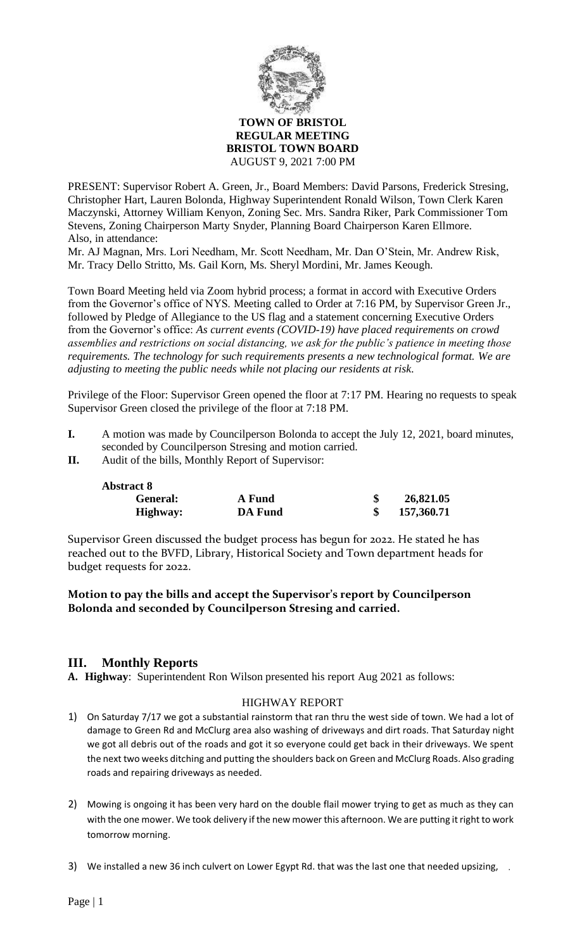

#### **TOWN OF BRISTOL REGULAR MEETING BRISTOL TOWN BOARD** AUGUST 9, 2021 7:00 PM

PRESENT: Supervisor Robert A. Green, Jr., Board Members: David Parsons, Frederick Stresing, Christopher Hart, Lauren Bolonda, Highway Superintendent Ronald Wilson, Town Clerk Karen Maczynski, Attorney William Kenyon, Zoning Sec. Mrs. Sandra Riker, Park Commissioner Tom Stevens, Zoning Chairperson Marty Snyder, Planning Board Chairperson Karen Ellmore. Also, in attendance:

Mr. AJ Magnan, Mrs. Lori Needham, Mr. Scott Needham, Mr. Dan O'Stein, Mr. Andrew Risk, Mr. Tracy Dello Stritto, Ms. Gail Korn, Ms. Sheryl Mordini, Mr. James Keough.

Town Board Meeting held via Zoom hybrid process; a format in accord with Executive Orders from the Governor's office of NYS. Meeting called to Order at 7:16 PM, by Supervisor Green Jr., followed by Pledge of Allegiance to the US flag and a statement concerning Executive Orders from the Governor's office: *As current events (COVID-19) have placed requirements on crowd assemblies and restrictions on social distancing, we ask for the public's patience in meeting those requirements. The technology for such requirements presents a new technological format. We are adjusting to meeting the public needs while not placing our residents at risk.*

Privilege of the Floor: Supervisor Green opened the floor at 7:17 PM. Hearing no requests to speak Supervisor Green closed the privilege of the floor at 7:18 PM.

- **I.** A motion was made by Councilperson Bolonda to accept the July 12, 2021, board minutes, seconded by Councilperson Stresing and motion carried.
- **II.** Audit of the bills, Monthly Report of Supervisor:

| <b>Abstract 8</b> |                |            |
|-------------------|----------------|------------|
| General:          | A Fund         | 26,821.05  |
| Highway:          | <b>DA Fund</b> | 157,360.71 |

Supervisor Green discussed the budget process has begun for 2022. He stated he has reached out to the BVFD, Library, Historical Society and Town department heads for budget requests for 2022.

## **Motion to pay the bills and accept the Supervisor's report by Councilperson Bolonda and seconded by Councilperson Stresing and carried.**

# **III. Monthly Reports**

**A. Highway**: Superintendent Ron Wilson presented his report Aug 2021 as follows:

## HIGHWAY REPORT

- 1) On Saturday 7/17 we got a substantial rainstorm that ran thru the west side of town. We had a lot of damage to Green Rd and McClurg area also washing of driveways and dirt roads. That Saturday night we got all debris out of the roads and got it so everyone could get back in their driveways. We spent the next two weeks ditching and putting the shoulders back on Green and McClurg Roads. Also grading roads and repairing driveways as needed.
- 2) Mowing is ongoing it has been very hard on the double flail mower trying to get as much as they can with the one mower. We took delivery if the new mower this afternoon. We are putting it right to work tomorrow morning.
- 3) We installed a new 36 inch culvert on Lower Egypt Rd. that was the last one that needed upsizing, and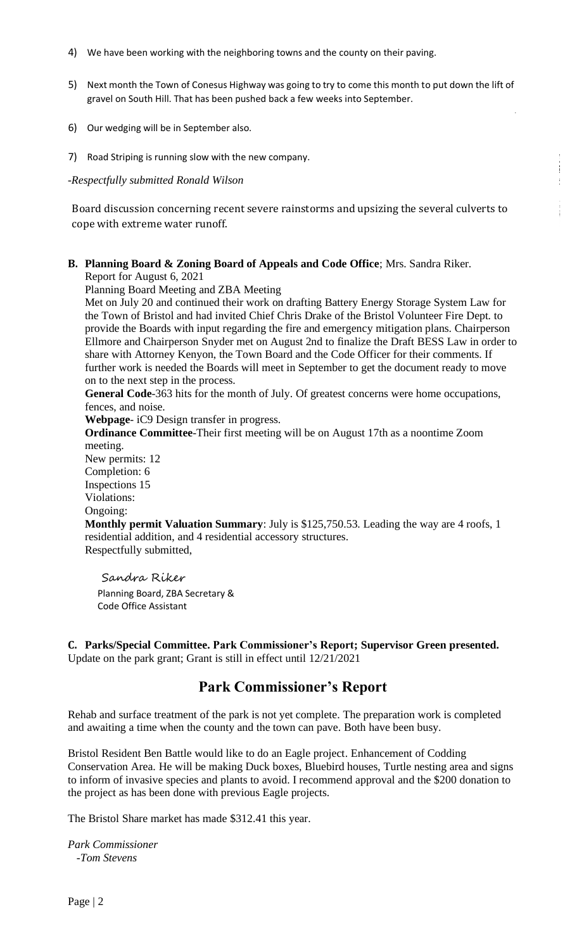- 4) We have been working with the neighboring towns and the county on their paving.
- 5) Next month the Town of Conesus Highway was going to try to come this month to put down the lift of gravel on South Hill. That has been pushed back a few weeks into September.
- 6) Our wedging will be in September also.
- 7) Road Striping is running slow with the new company.

-*Respectfully submitted Ronald Wilson*

Board discussion concerning recent severe rainstorms and upsizing the several culverts to cope with extreme water runoff.

**B. Planning Board & Zoning Board of Appeals and Code Office**; Mrs. Sandra Riker. Report for August 6, 2021

Planning Board Meeting and ZBA Meeting

Met on July 20 and continued their work on drafting Battery Energy Storage System Law for the Town of Bristol and had invited Chief Chris Drake of the Bristol Volunteer Fire Dept. to provide the Boards with input regarding the fire and emergency mitigation plans. Chairperson Ellmore and Chairperson Snyder met on August 2nd to finalize the Draft BESS Law in order to share with Attorney Kenyon, the Town Board and the Code Officer for their comments. If further work is needed the Boards will meet in September to get the document ready to move on to the next step in the process.

**General Code**-363 hits for the month of July. Of greatest concerns were home occupations, fences, and noise.

**Webpage**- iC9 Design transfer in progress.

**Ordinance Committee**-Their first meeting will be on August 17th as a noontime Zoom meeting. New permits: 12 Completion: 6 Inspections 15 Violations: Ongoing: **Monthly permit Valuation Summary**: July is \$125,750.53. Leading the way are 4 roofs, 1 residential addition, and 4 residential accessory structures. Respectfully submitted,

Sandra Riker Planning Board, ZBA Secretary & Code Office Assistant

**C. Parks/Special Committee. Park Commissioner's Report; Supervisor Green presented.** Update on the park grant; Grant is still in effect until 12/21/2021

# **Park Commissioner's Report**

Rehab and surface treatment of the park is not yet complete. The preparation work is completed and awaiting a time when the county and the town can pave. Both have been busy.

Bristol Resident Ben Battle would like to do an Eagle project. Enhancement of Codding Conservation Area. He will be making Duck boxes, Bluebird houses, Turtle nesting area and signs to inform of invasive species and plants to avoid. I recommend approval and the \$200 donation to the project as has been done with previous Eagle projects.

The Bristol Share market has made \$312.41 this year.

*Park Commissioner -Tom Stevens*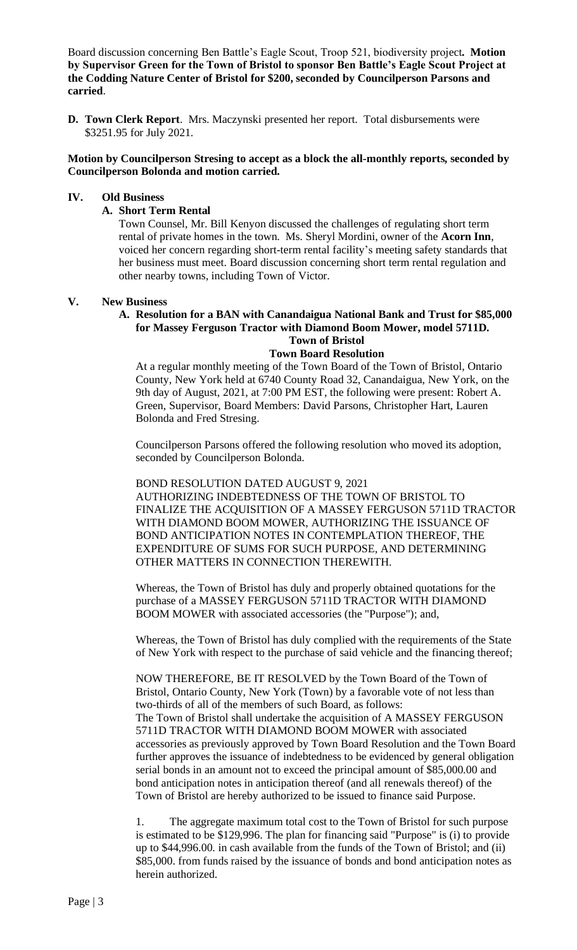Board discussion concerning Ben Battle's Eagle Scout, Troop 521, biodiversity project**. Motion by Supervisor Green for the Town of Bristol to sponsor Ben Battle's Eagle Scout Project at the Codding Nature Center of Bristol for \$200, seconded by Councilperson Parsons and carried**.

**D. Town Clerk Report**. Mrs. Maczynski presented her report. Total disbursements were \$3251.95 for July 2021.

#### **Motion by Councilperson Stresing to accept as a block the all-monthly reports, seconded by Councilperson Bolonda and motion carried.**

#### **IV. Old Business**

#### **A. Short Term Rental**

Town Counsel, Mr. Bill Kenyon discussed the challenges of regulating short term rental of private homes in the town. Ms. Sheryl Mordini, owner of the **Acorn Inn**, voiced her concern regarding short-term rental facility's meeting safety standards that her business must meet. Board discussion concerning short term rental regulation and other nearby towns, including Town of Victor.

#### **V. New Business**

## **A. Resolution for a BAN with Canandaigua National Bank and Trust for \$85,000 for Massey Ferguson Tractor with Diamond Boom Mower, model 5711D. Town of Bristol**

#### **Town Board Resolution**

At a regular monthly meeting of the Town Board of the Town of Bristol, Ontario County, New York held at 6740 County Road 32, Canandaigua, New York, on the 9th day of August, 2021, at 7:00 PM EST, the following were present: Robert A. Green, Supervisor, Board Members: David Parsons, Christopher Hart, Lauren Bolonda and Fred Stresing.

Councilperson Parsons offered the following resolution who moved its adoption, seconded by Councilperson Bolonda.

BOND RESOLUTION DATED AUGUST 9, 2021 AUTHORIZING INDEBTEDNESS OF THE TOWN OF BRISTOL TO FINALIZE THE ACQUISITION OF A MASSEY FERGUSON 5711D TRACTOR WITH DIAMOND BOOM MOWER, AUTHORIZING THE ISSUANCE OF BOND ANTICIPATION NOTES IN CONTEMPLATION THEREOF, THE EXPENDITURE OF SUMS FOR SUCH PURPOSE, AND DETERMINING OTHER MATTERS IN CONNECTION THEREWITH.

Whereas, the Town of Bristol has duly and properly obtained quotations for the purchase of a MASSEY FERGUSON 5711D TRACTOR WITH DIAMOND BOOM MOWER with associated accessories (the "Purpose"); and,

Whereas, the Town of Bristol has duly complied with the requirements of the State of New York with respect to the purchase of said vehicle and the financing thereof;

NOW THEREFORE, BE IT RESOLVED by the Town Board of the Town of Bristol, Ontario County, New York (Town) by a favorable vote of not less than two-thirds of all of the members of such Board, as follows: The Town of Bristol shall undertake the acquisition of A MASSEY FERGUSON 5711D TRACTOR WITH DIAMOND BOOM MOWER with associated accessories as previously approved by Town Board Resolution and the Town Board further approves the issuance of indebtedness to be evidenced by general obligation serial bonds in an amount not to exceed the principal amount of \$85,000.00 and bond anticipation notes in anticipation thereof (and all renewals thereof) of the Town of Bristol are hereby authorized to be issued to finance said Purpose.

1. The aggregate maximum total cost to the Town of Bristol for such purpose is estimated to be \$129,996. The plan for financing said "Purpose" is (i) to provide up to \$44,996.00. in cash available from the funds of the Town of Bristol; and (ii) \$85,000. from funds raised by the issuance of bonds and bond anticipation notes as herein authorized.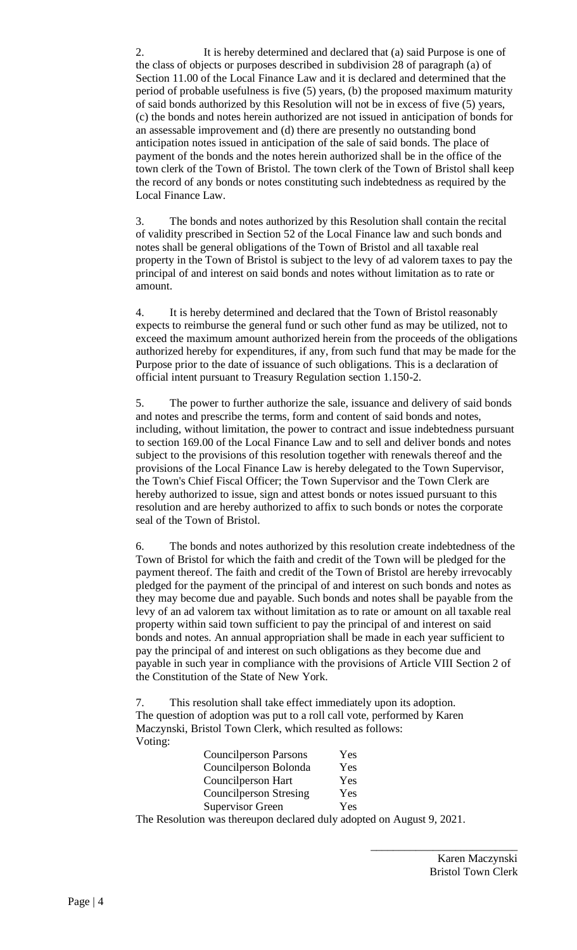2. It is hereby determined and declared that (a) said Purpose is one of the class of objects or purposes described in subdivision 28 of paragraph (a) of Section 11.00 of the Local Finance Law and it is declared and determined that the period of probable usefulness is five (5) years, (b) the proposed maximum maturity of said bonds authorized by this Resolution will not be in excess of five (5) years, (c) the bonds and notes herein authorized are not issued in anticipation of bonds for an assessable improvement and (d) there are presently no outstanding bond anticipation notes issued in anticipation of the sale of said bonds. The place of payment of the bonds and the notes herein authorized shall be in the office of the town clerk of the Town of Bristol. The town clerk of the Town of Bristol shall keep the record of any bonds or notes constituting such indebtedness as required by the Local Finance Law.

3. The bonds and notes authorized by this Resolution shall contain the recital of validity prescribed in Section 52 of the Local Finance law and such bonds and notes shall be general obligations of the Town of Bristol and all taxable real property in the Town of Bristol is subject to the levy of ad valorem taxes to pay the principal of and interest on said bonds and notes without limitation as to rate or amount.

4. It is hereby determined and declared that the Town of Bristol reasonably expects to reimburse the general fund or such other fund as may be utilized, not to exceed the maximum amount authorized herein from the proceeds of the obligations authorized hereby for expenditures, if any, from such fund that may be made for the Purpose prior to the date of issuance of such obligations. This is a declaration of official intent pursuant to Treasury Regulation section 1.150-2.

5. The power to further authorize the sale, issuance and delivery of said bonds and notes and prescribe the terms, form and content of said bonds and notes, including, without limitation, the power to contract and issue indebtedness pursuant to section 169.00 of the Local Finance Law and to sell and deliver bonds and notes subject to the provisions of this resolution together with renewals thereof and the provisions of the Local Finance Law is hereby delegated to the Town Supervisor, the Town's Chief Fiscal Officer; the Town Supervisor and the Town Clerk are hereby authorized to issue, sign and attest bonds or notes issued pursuant to this resolution and are hereby authorized to affix to such bonds or notes the corporate seal of the Town of Bristol.

6. The bonds and notes authorized by this resolution create indebtedness of the Town of Bristol for which the faith and credit of the Town will be pledged for the payment thereof. The faith and credit of the Town of Bristol are hereby irrevocably pledged for the payment of the principal of and interest on such bonds and notes as they may become due and payable. Such bonds and notes shall be payable from the levy of an ad valorem tax without limitation as to rate or amount on all taxable real property within said town sufficient to pay the principal of and interest on said bonds and notes. An annual appropriation shall be made in each year sufficient to pay the principal of and interest on such obligations as they become due and payable in such year in compliance with the provisions of Article VIII Section 2 of the Constitution of the State of New York.

This resolution shall take effect immediately upon its adoption. The question of adoption was put to a roll call vote, performed by Karen Maczynski, Bristol Town Clerk, which resulted as follows: Voting:

| <b>Councilperson Parsons</b>  | Yes |
|-------------------------------|-----|
| Councilperson Bolonda         | Yes |
| Councilperson Hart            | Yes |
| <b>Councilperson Stresing</b> | Yes |
| <b>Supervisor Green</b>       | Yes |

The Resolution was thereupon declared duly adopted on August 9, 2021.

\_\_\_\_\_\_\_\_\_\_\_\_\_\_\_\_\_\_\_\_\_\_\_\_\_\_